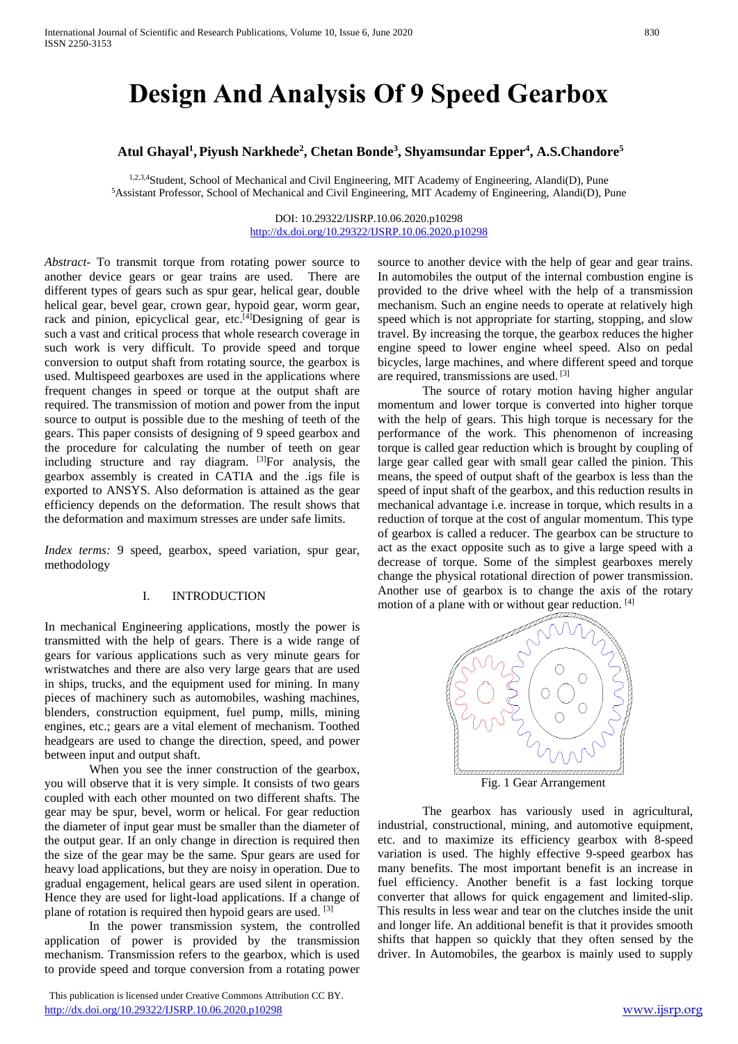# **Design And Analysis Of 9 Speed Gearbox**

## **Atul Ghayal<sup>1</sup> , Piyush Narkhede<sup>2</sup> , Chetan Bonde<sup>3</sup> , Shyamsundar Epper<sup>4</sup> , A.S.Chandore<sup>5</sup>**

1,2,3,4Student, School of Mechanical and Civil Engineering, MIT Academy of Engineering, Alandi(D), Pune <sup>5</sup>Assistant Professor, School of Mechanical and Civil Engineering, MIT Academy of Engineering, Alandi(D), Pune

> DOI: 10.29322/IJSRP.10.06.2020.p10298 <http://dx.doi.org/10.29322/IJSRP.10.06.2020.p10298>

*Abstract-* To transmit torque from rotating power source to another device gears or gear trains are used. There are different types of gears such as spur gear, helical gear, double helical gear, bevel gear, crown gear, hypoid gear, worm gear, rack and pinion, epicyclical gear, etc.[4]Designing of gear is such a vast and critical process that whole research coverage in such work is very difficult. To provide speed and torque conversion to output shaft from rotating source, the gearbox is used. Multispeed gearboxes are used in the applications where frequent changes in speed or torque at the output shaft are required. The transmission of motion and power from the input source to output is possible due to the meshing of teeth of the gears. This paper consists of designing of 9 speed gearbox and the procedure for calculating the number of teeth on gear including structure and ray diagram.  $[3]$ For analysis, the gearbox assembly is created in CATIA and the .igs file is exported to ANSYS. Also deformation is attained as the gear efficiency depends on the deformation. The result shows that the deformation and maximum stresses are under safe limits.

*Index terms:* 9 speed, gearbox, speed variation, spur gear, methodology

#### I. INTRODUCTION

In mechanical Engineering applications, mostly the power is transmitted with the help of gears. There is a wide range of gears for various applications such as very minute gears for wristwatches and there are also very large gears that are used in ships, trucks, and the equipment used for mining. In many pieces of machinery such as automobiles, washing machines, blenders, construction equipment, fuel pump, mills, mining engines, etc.; gears are a vital element of mechanism. Toothed headgears are used to change the direction, speed, and power between input and output shaft.

When you see the inner construction of the gearbox, you will observe that it is very simple. It consists of two gears coupled with each other mounted on two different shafts. The gear may be spur, bevel, worm or helical. For gear reduction the diameter of input gear must be smaller than the diameter of the output gear. If an only change in direction is required then the size of the gear may be the same. Spur gears are used for heavy load applications, but they are noisy in operation. Due to gradual engagement, helical gears are used silent in operation. Hence they are used for light-load applications. If a change of plane of rotation is required then hypoid gears are used. [3]

In the power transmission system, the controlled application of power is provided by the transmission mechanism. Transmission refers to the gearbox, which is used to provide speed and torque conversion from a rotating power

 This publication is licensed under Creative Commons Attribution CC BY. <http://dx.doi.org/10.29322/IJSRP.10.06.2020.p10298> [www.ijsrp.org](http://ijsrp.org/)

source to another device with the help of gear and gear trains. In automobiles the output of the internal combustion engine is provided to the drive wheel with the help of a transmission mechanism. Such an engine needs to operate at relatively high speed which is not appropriate for starting, stopping, and slow travel. By increasing the torque, the gearbox reduces the higher engine speed to lower engine wheel speed. Also on pedal bicycles, large machines, and where different speed and torque are required, transmissions are used. [3]

The source of rotary motion having higher angular momentum and lower torque is converted into higher torque with the help of gears. This high torque is necessary for the performance of the work. This phenomenon of increasing torque is called gear reduction which is brought by coupling of large gear called gear with small gear called the pinion. This means, the speed of output shaft of the gearbox is less than the speed of input shaft of the gearbox, and this reduction results in mechanical advantage i.e. increase in torque, which results in a reduction of torque at the cost of angular momentum. This type of gearbox is called a reducer. The gearbox can be structure to act as the exact opposite such as to give a large speed with a decrease of torque. Some of the simplest gearboxes merely change the physical rotational direction of power transmission. Another use of gearbox is to change the axis of the rotary motion of a plane with or without gear reduction. [4]



Fig. 1 Gear Arrangement

The gearbox has variously used in agricultural, industrial, constructional, mining, and automotive equipment, etc. and to maximize its efficiency gearbox with 8-speed variation is used. The highly effective 9-speed gearbox has many benefits. The most important benefit is an increase in fuel efficiency. Another benefit is a fast locking torque converter that allows for quick engagement and limited-slip. This results in less wear and tear on the clutches inside the unit and longer life. An additional benefit is that it provides smooth shifts that happen so quickly that they often sensed by the driver. In Automobiles, the gearbox is mainly used to supply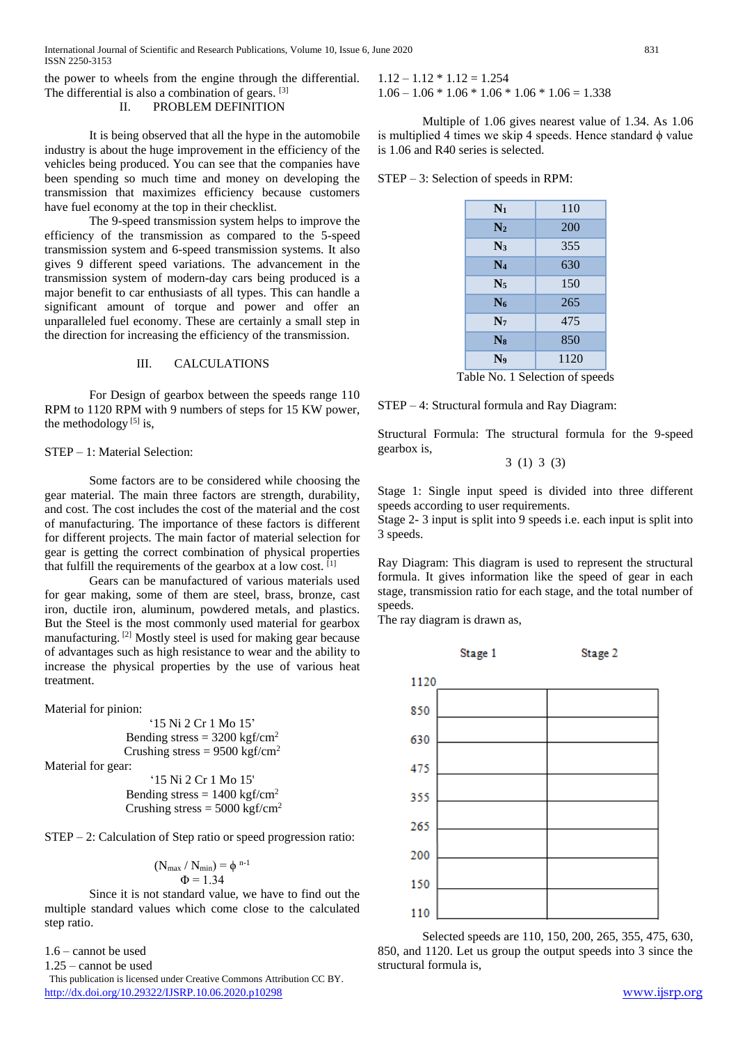the power to wheels from the engine through the differential. The differential is also a combination of gears. [3]

## II. PROBLEM DEFINITION

It is being observed that all the hype in the automobile industry is about the huge improvement in the efficiency of the vehicles being produced. You can see that the companies have been spending so much time and money on developing the transmission that maximizes efficiency because customers have fuel economy at the top in their checklist.

The 9-speed transmission system helps to improve the efficiency of the transmission as compared to the 5-speed transmission system and 6-speed transmission systems. It also gives 9 different speed variations. The advancement in the transmission system of modern-day cars being produced is a major benefit to car enthusiasts of all types. This can handle a significant amount of torque and power and offer an unparalleled fuel economy. These are certainly a small step in the direction for increasing the efficiency of the transmission.

### III. CALCULATIONS

For Design of gearbox between the speeds range 110 RPM to 1120 RPM with 9 numbers of steps for 15 KW power, the methodology  $[5]$  is,

#### STEP – 1: Material Selection:

Some factors are to be considered while choosing the gear material. The main three factors are strength, durability, and cost. The cost includes the cost of the material and the cost of manufacturing. The importance of these factors is different for different projects. The main factor of material selection for gear is getting the correct combination of physical properties that fulfill the requirements of the gearbox at a low cost.  $[1]$ 

Gears can be manufactured of various materials used for gear making, some of them are steel, brass, bronze, cast iron, ductile iron, aluminum, powdered metals, and plastics. But the Steel is the most commonly used material for gearbox manufacturing. [2] Mostly steel is used for making gear because of advantages such as high resistance to wear and the ability to increase the physical properties by the use of various heat treatment.

Material for pinion:

'15 Ni 2 Cr 1 Mo 15' Bending stress =  $3200 \text{ kgf/cm}^2$ Crushing stress =  $9500 \text{ kgf/cm}^2$ 

Material for gear:

| '15 Ni 2 Cr 1 Mo 15'                      |
|-------------------------------------------|
| Bending stress = $1400 \text{ kgf/cm}^2$  |
| Crushing stress = $5000 \text{ kgf/cm}^2$ |

STEP – 2: Calculation of Step ratio or speed progression ratio:

$$
(N_{max}\ /\ N_{min})=\varphi^{n-1}\\ \Phi=1.34
$$

Since it is not standard value, we have to find out the multiple standard values which come close to the calculated step ratio.

1.6 – cannot be used

1.25 – cannot be used

 This publication is licensed under Creative Commons Attribution CC BY. <http://dx.doi.org/10.29322/IJSRP.10.06.2020.p10298> [www.ijsrp.org](http://ijsrp.org/)

 $1.12 - 1.12 * 1.12 = 1.254$  $1.06 - 1.06 * 1.06 * 1.06 * 1.06 * 1.06 = 1.338$ 

Multiple of 1.06 gives nearest value of 1.34. As 1.06 is multiplied 4 times we skip 4 speeds. Hence standard  $\phi$  value is 1.06 and R40 series is selected.

STEP – 3: Selection of speeds in RPM:

| $N_1$          | 110  |
|----------------|------|
| $\mathbf{N}_2$ | 200  |
| $N_3$          | 355  |
| $N_4$          | 630  |
| N <sub>5</sub> | 150  |
| $N_6$          | 265  |
| N <sub>7</sub> | 475  |
| $N_{8}$        | 850  |
| N <sub>9</sub> | 1120 |

Table No. 1 Selection of speeds

STEP – 4: Structural formula and Ray Diagram:

Structural Formula: The structural formula for the 9-speed gearbox is,

3 (1) 3 (3)

Stage 1: Single input speed is divided into three different speeds according to user requirements.

Stage 2- 3 input is split into 9 speeds i.e. each input is split into 3 speeds.

Ray Diagram: This diagram is used to represent the structural formula. It gives information like the speed of gear in each stage, transmission ratio for each stage, and the total number of speeds.

The ray diagram is drawn as,

Stage 1





Selected speeds are 110, 150, 200, 265, 355, 475, 630, 850, and 1120. Let us group the output speeds into 3 since the structural formula is,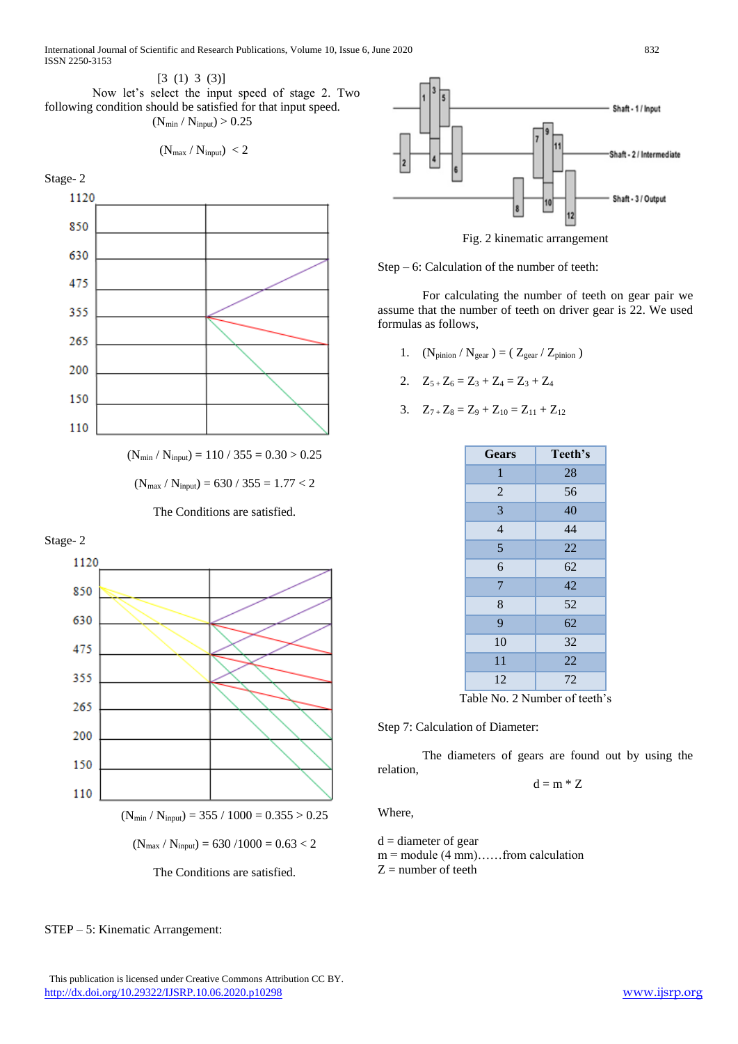[3 (1) 3 (3)]

Now let's select the input speed of stage 2. Two following condition should be satisfied for that input speed.  $(N_{min} / N_{input}) > 0.25$ 

$$
(N_{max} \ / \ N_{input}) \ < 2
$$





 $(N_{max} / N_{input}) = 630 / 355 = 1.77 < 2$ 

The Conditions are satisfied.





 $(N_{max} / N_{input}) = 630 / 1000 = 0.63 < 2$ 





Fig. 2 kinematic arrangement

Step – 6: Calculation of the number of teeth:

For calculating the number of teeth on gear pair we assume that the number of teeth on driver gear is 22. We used formulas as follows,

- 1.  $(N_{pinion} / N_{gear}) = ( Z_{gear} / Z_{pinion} )$
- 2.  $Z_{5+}Z_6 = Z_3 + Z_4 = Z_3 + Z_4$
- 3.  $Z_7 + Z_8 = Z_9 + Z_{10} = Z_{11} + Z_{12}$

| <b>Gears</b>                          | Teeth's |  |
|---------------------------------------|---------|--|
| 1                                     | 28      |  |
| $\overline{2}$                        | 56      |  |
| 3                                     | 40      |  |
| $\overline{4}$                        | 44      |  |
| 5                                     | 22      |  |
| 6                                     | 62      |  |
| $\overline{7}$                        | 42      |  |
| 8                                     | 52      |  |
| 9                                     | 62      |  |
| 10                                    | 32      |  |
| 11                                    | 22      |  |
| 12                                    | 72      |  |
| $\Gamma_0$ blo No. 2 Number of teeth' |         |  |

Table No. 2 Number of teeth's

Step 7: Calculation of Diameter:

The diameters of gears are found out by using the relation,

 $d = m * Z$ 

Where,

 $d =$ diameter of gear  $m =$  module (4 mm)......from calculation  $Z =$  number of teeth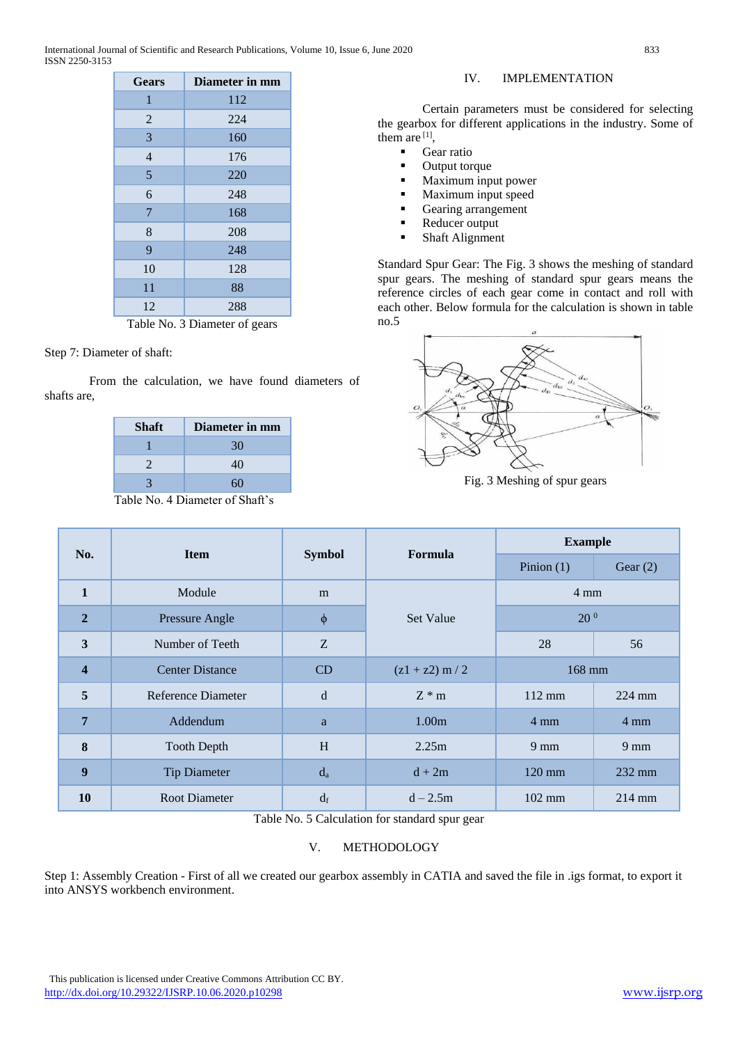| <b>Gears</b>                  | Diameter in mm |  |
|-------------------------------|----------------|--|
| 1                             | 112            |  |
| 2                             | 224            |  |
| 3                             | 160            |  |
| $\overline{4}$                | 176            |  |
| 5                             | 220            |  |
| 6                             | 248            |  |
| $\overline{7}$                | 168            |  |
| 8                             | 208            |  |
| 9                             | 248            |  |
| 10                            | 128            |  |
| 11                            | 88             |  |
| 12                            | 288            |  |
| Table No. 3 Diameter of gears |                |  |

Step 7: Diameter of shaft:

From the calculation, we have found diameters of shafts are,

| <b>Shaft</b> | Diameter in mm |  |
|--------------|----------------|--|
|              | 30             |  |
|              | 40             |  |
|              | 60             |  |

Table No. 4 Diameter of Shaft's

# IV. IMPLEMENTATION

Certain parameters must be considered for selecting the gearbox for different applications in the industry. Some of them are [1],

- **Gear ratio**
- Output torque
- **Maximum input power**
- **Maximum input speed**
- Gearing arrangement
- Reducer output
- **Shaft Alignment**

Standard Spur Gear: The Fig. 3 shows the meshing of standard spur gears. The meshing of standard spur gears means the reference circles of each gear come in contact and roll with each other. Below formula for the calculation is shown in table no.5



Fig. 3 Meshing of spur gears

|                         |                        |               | Formula           | <b>Example</b>   |                  |
|-------------------------|------------------------|---------------|-------------------|------------------|------------------|
| No.                     | <b>Item</b>            | <b>Symbol</b> |                   | Pinion $(1)$     | Gear $(2)$       |
| $\mathbf{1}$            | Module                 | m             | Set Value         | $4 \text{ mm}$   |                  |
| $\overline{2}$          | Pressure Angle         | $\phi$        |                   | 20 <sup>0</sup>  |                  |
| 3                       | Number of Teeth        | Z             |                   | 28               | 56               |
| $\overline{\mathbf{4}}$ | <b>Center Distance</b> | CD            | $(z1 + z2)$ m / 2 | 168 mm           |                  |
| 5                       | Reference Diameter     | d             | $Z \times m$      | $112 \text{ mm}$ | $224$ mm         |
| 7                       | Addendum               | a             | 1.00 <sub>m</sub> | $4 \text{ mm}$   | $4 \text{ mm}$   |
| 8                       | <b>Tooth Depth</b>     | H             | 2.25m             | $9 \text{ mm}$   | $9 \text{ mm}$   |
| 9                       | <b>Tip Diameter</b>    | $d_{a}$       | $d + 2m$          | $120 \text{ mm}$ | $232 \text{ mm}$ |
| <b>10</b>               | <b>Root Diameter</b>   | $d_f$         | $d - 2.5m$        | $102 \text{ mm}$ | $214$ mm         |

Table No. 5 Calculation for standard spur gear

# V. METHODOLOGY

Step 1: Assembly Creation - First of all we created our gearbox assembly in CATIA and saved the file in .igs format, to export it into ANSYS workbench environment.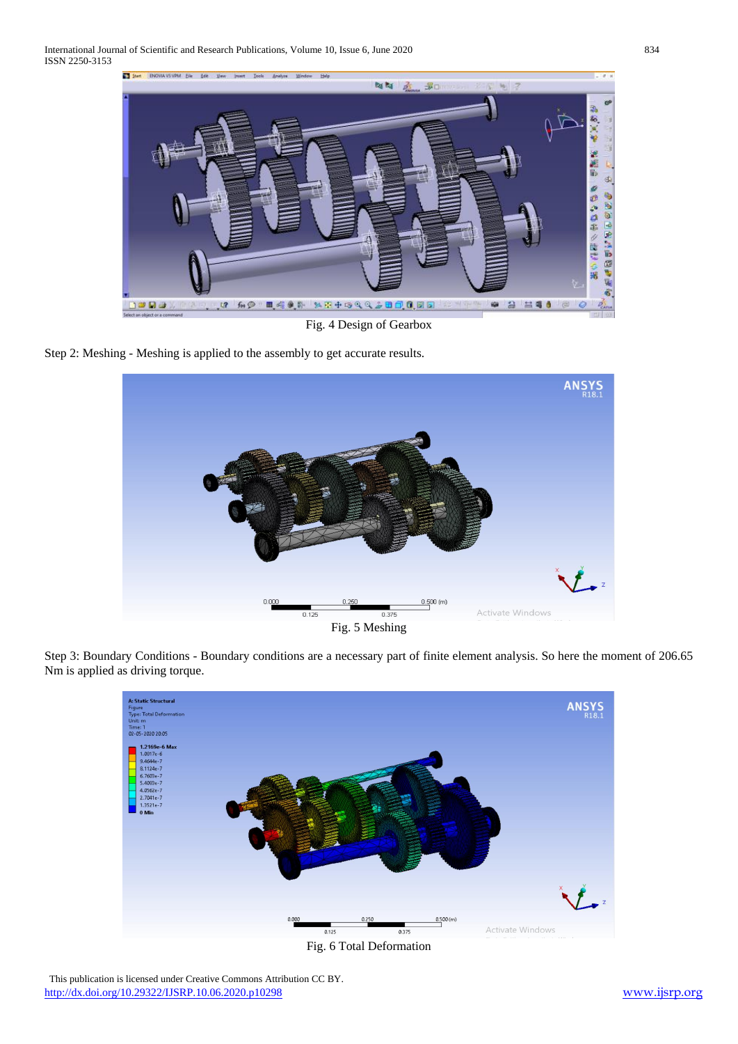

Fig. 4 Design of Gearbox

Step 2: Meshing - Meshing is applied to the assembly to get accurate results.



Step 3: Boundary Conditions - Boundary conditions are a necessary part of finite element analysis. So here the moment of 206.65 Nm is applied as driving torque.



Fig. 6 Total Deformation

 This publication is licensed under Creative Commons Attribution CC BY. <http://dx.doi.org/10.29322/IJSRP.10.06.2020.p10298> [www.ijsrp.org](http://ijsrp.org/)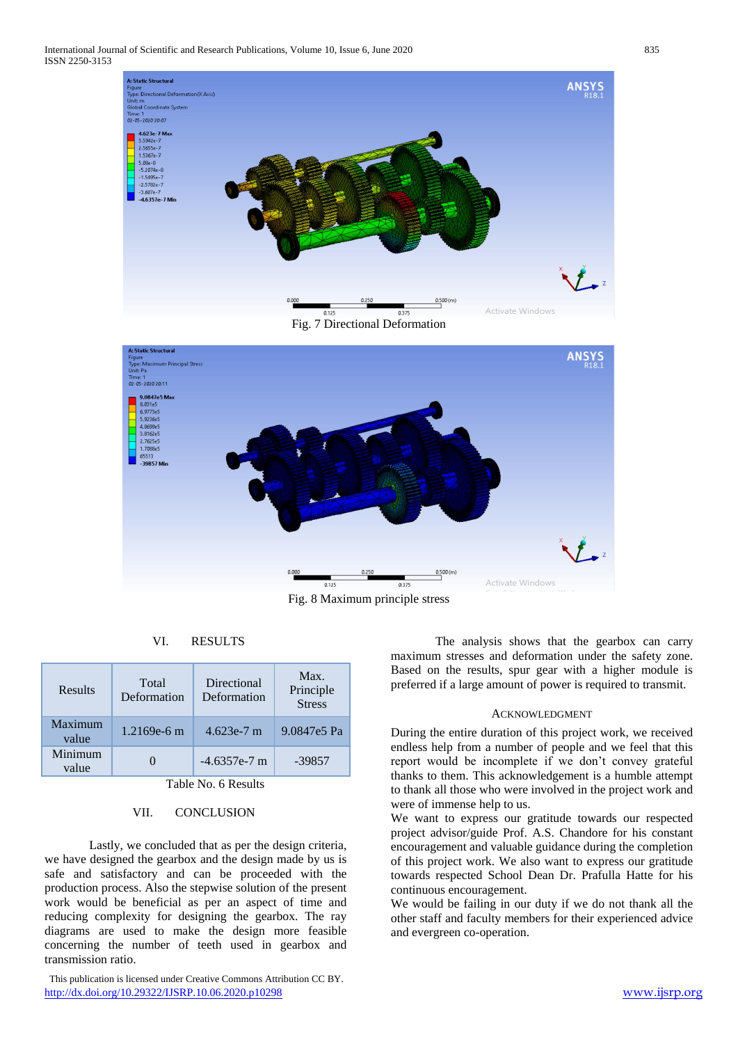

Fig. 8 Maximum principle stress

 $0.500(m)$ 

VI. RESULTS

| Results          | Total<br>Deformation | Directional<br>Deformation | Max<br>Principle<br><b>Stress</b> |
|------------------|----------------------|----------------------------|-----------------------------------|
| Maximum<br>value | 1.2169e-6 m          | $4.623e-7$ m               | 9.0847e5 Pa                       |
| Minimum<br>value |                      | $-4.6357e-7$ m             | $-39857$                          |

Table No. 6 Results

#### VII. CONCLUSION

Lastly, we concluded that as per the design criteria, we have designed the gearbox and the design made by us is safe and satisfactory and can be proceeded with the production process. Also the stepwise solution of the present work would be beneficial as per an aspect of time and reducing complexity for designing the gearbox. The ray diagrams are used to make the design more feasible concerning the number of teeth used in gearbox and transmission ratio.

 This publication is licensed under Creative Commons Attribution CC BY. <http://dx.doi.org/10.29322/IJSRP.10.06.2020.p10298> [www.ijsrp.org](http://ijsrp.org/)

The analysis shows that the gearbox can carry maximum stresses and deformation under the safety zone. Based on the results, spur gear with a higher module is preferred if a large amount of power is required to transmit.

**Activate Windows** 

#### ACKNOWLEDGMENT

During the entire duration of this project work, we received endless help from a number of people and we feel that this report would be incomplete if we don't convey grateful thanks to them. This acknowledgement is a humble attempt to thank all those who were involved in the project work and were of immense help to us.

We want to express our gratitude towards our respected project advisor/guide Prof. A.S. Chandore for his constant encouragement and valuable guidance during the completion of this project work. We also want to express our gratitude towards respected School Dean Dr. Prafulla Hatte for his continuous encouragement.

We would be failing in our duty if we do not thank all the other staff and faculty members for their experienced advice and evergreen co-operation.